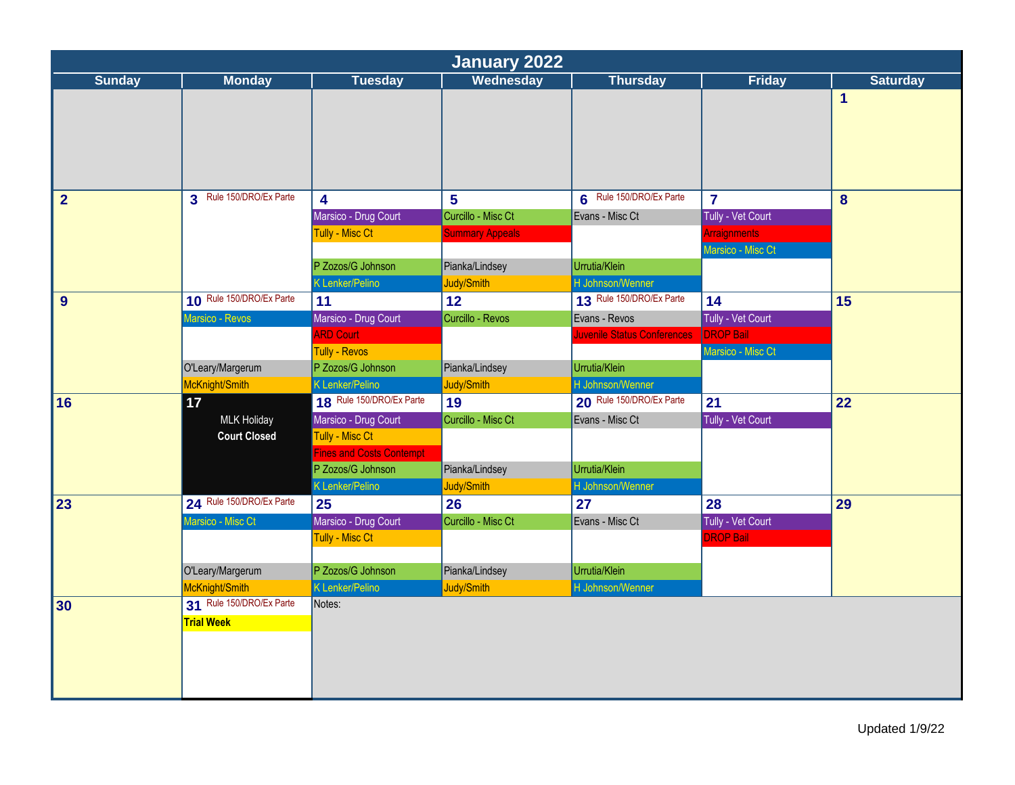|                |                          |                                         |                        |                             | <b>January 2022</b>                   |                 |  |  |  |  |  |  |
|----------------|--------------------------|-----------------------------------------|------------------------|-----------------------------|---------------------------------------|-----------------|--|--|--|--|--|--|
| <b>Sunday</b>  | <b>Monday</b>            | <b>Tuesday</b>                          | Wednesday              | <b>Thursday</b>             | Friday                                | <b>Saturday</b> |  |  |  |  |  |  |
|                |                          |                                         |                        |                             |                                       | 1               |  |  |  |  |  |  |
| $\overline{2}$ | 3 Rule 150/DRO/Ex Parte  | $\overline{\mathbf{4}}$                 | $5\phantom{a}$         | 6 Rule 150/DRO/Ex Parte     | $\overline{7}$                        | 8               |  |  |  |  |  |  |
|                |                          | Marsico - Drug Court                    | Curcillo - Misc Ct     | Evans - Misc Ct             | Tully - Vet Court                     |                 |  |  |  |  |  |  |
|                |                          | Tully - Misc Ct                         | <b>Summary Appeals</b> |                             | <b>Arraignments</b>                   |                 |  |  |  |  |  |  |
|                |                          |                                         |                        |                             | Marsico - Misc Ct                     |                 |  |  |  |  |  |  |
|                |                          | P Zozos/G Johnson                       | Pianka/Lindsey         | Urrutia/Klein               |                                       |                 |  |  |  |  |  |  |
|                |                          | K Lenker/Pelino                         | Judy/Smith             | H Johnson/Wenner            |                                       |                 |  |  |  |  |  |  |
| 9              | 10 Rule 150/DRO/Ex Parte | 11                                      | 12                     | 13 Rule 150/DRO/Ex Parte    | 14                                    | 15              |  |  |  |  |  |  |
|                | Marsico - Revos          | Marsico - Drug Court                    | Curcillo - Revos       | Evans - Revos               | Tully - Vet Court                     |                 |  |  |  |  |  |  |
|                |                          | <b>ARD Court</b>                        |                        | Juvenile Status Conferences | <b>DROP Bail</b>                      |                 |  |  |  |  |  |  |
|                |                          | <b>Tully - Revos</b>                    |                        |                             | Marsico - Misc Ct                     |                 |  |  |  |  |  |  |
|                | O'Leary/Margerum         | P Zozos/G Johnson                       | Pianka/Lindsey         | Urrutia/Klein               |                                       |                 |  |  |  |  |  |  |
|                | McKnight/Smith           | K Lenker/Pelino                         | Judy/Smith             | H Johnson/Wenner            |                                       |                 |  |  |  |  |  |  |
| 16             | 17 <sub>2</sub>          | 18 Rule 150/DRO/Ex Parte                | 19                     | 20 Rule 150/DRO/Ex Parte    | 21                                    | 22              |  |  |  |  |  |  |
|                | <b>MLK Holiday</b>       | Marsico - Drug Court                    | Curcillo - Misc Ct     | Evans - Misc Ct             | Tully - Vet Court                     |                 |  |  |  |  |  |  |
|                | <b>Court Closed</b>      | <b>Tully - Misc Ct</b>                  |                        |                             |                                       |                 |  |  |  |  |  |  |
|                |                          | <b>Fines and Costs Contempt</b>         |                        |                             |                                       |                 |  |  |  |  |  |  |
|                |                          | P Zozos/G Johnson                       | Pianka/Lindsey         | Urrutia/Klein               |                                       |                 |  |  |  |  |  |  |
|                | 24 Rule 150/DRO/Ex Parte | K Lenker/Pelino                         | Judy/Smith             | H Johnson/Wenner            |                                       |                 |  |  |  |  |  |  |
| 23             |                          | 25                                      | 26                     | 27                          | 28                                    | 29              |  |  |  |  |  |  |
|                | Marsico - Misc Ct        | Marsico - Drug Court<br>Tully - Misc Ct | Curcillo - Misc Ct     | Evans - Misc Ct             | Tully - Vet Court<br><b>DROP Bail</b> |                 |  |  |  |  |  |  |
|                |                          |                                         |                        |                             |                                       |                 |  |  |  |  |  |  |
|                | O'Leary/Margerum         | P Zozos/G Johnson                       | Pianka/Lindsey         | Urrutia/Klein               |                                       |                 |  |  |  |  |  |  |
|                | McKnight/Smith           | K Lenker/Pelino                         | Judy/Smith             | H Johnson/Wenner            |                                       |                 |  |  |  |  |  |  |
| 30             | 31 Rule 150/DRO/Ex Parte | Notes:                                  |                        |                             |                                       |                 |  |  |  |  |  |  |
|                | <b>Trial Week</b>        |                                         |                        |                             |                                       |                 |  |  |  |  |  |  |
|                |                          |                                         |                        |                             |                                       |                 |  |  |  |  |  |  |
|                |                          |                                         |                        |                             |                                       |                 |  |  |  |  |  |  |
|                |                          |                                         |                        |                             |                                       |                 |  |  |  |  |  |  |
|                |                          |                                         |                        |                             |                                       |                 |  |  |  |  |  |  |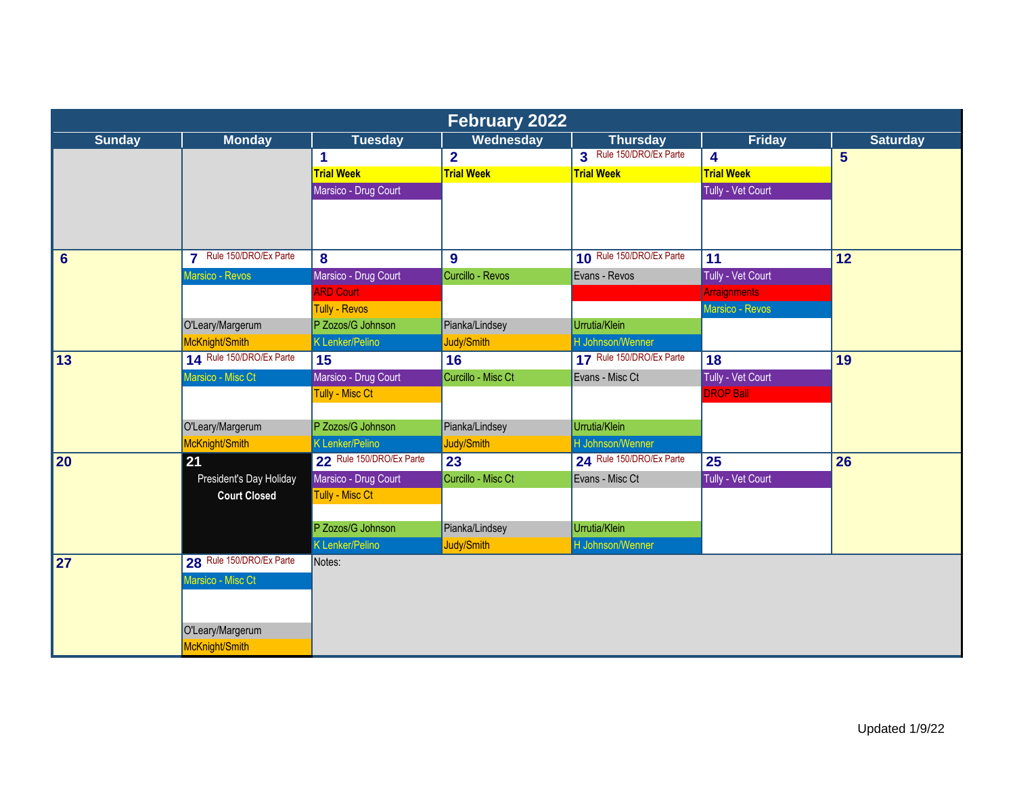|                 |                          |                          | <b>February 2022</b>    |                          |                     |                 |
|-----------------|--------------------------|--------------------------|-------------------------|--------------------------|---------------------|-----------------|
| <b>Sunday</b>   | <b>Monday</b>            | <b>Tuesday</b>           | Wednesday               | <b>Thursday</b>          | <b>Friday</b>       | <b>Saturday</b> |
|                 |                          | 1                        | $\overline{\mathbf{2}}$ | 3 Rule 150/DRO/Ex Parte  | 4                   | $5\overline{)}$ |
|                 |                          | <b>Trial Week</b>        | <b>Trial Week</b>       | <b>Trial Week</b>        | <b>Trial Week</b>   |                 |
|                 |                          | Marsico - Drug Court     |                         |                          | Tully - Vet Court   |                 |
|                 |                          |                          |                         |                          |                     |                 |
|                 |                          |                          |                         |                          |                     |                 |
|                 |                          |                          |                         |                          |                     |                 |
| $6\phantom{1}6$ | 7 Rule 150/DRO/Ex Parte  | 8                        | 9                       | 10 Rule 150/DRO/Ex Parte | 11                  | 12              |
|                 | Marsico - Revos          | Marsico - Drug Court     | Curcillo - Revos        | Evans - Revos            | Tully - Vet Court   |                 |
|                 |                          | <b>ARD Court</b>         |                         |                          | <b>Arraignments</b> |                 |
|                 |                          | <b>Tully - Revos</b>     |                         |                          | Marsico - Revos     |                 |
|                 | O'Leary/Margerum         | P Zozos/G Johnson        | Pianka/Lindsey          | Urrutia/Klein            |                     |                 |
|                 | McKnight/Smith           | <b>K Lenker/Pelino</b>   | Judy/Smith              | H Johnson/Wenner         |                     |                 |
| 13              | 14 Rule 150/DRO/Ex Parte | 15                       | 16                      | 17 Rule 150/DRO/Ex Parte | 18                  | 19              |
|                 | Marsico - Misc Ct        | Marsico - Drug Court     | Curcillo - Misc Ct      | Evans - Misc Ct          | Tully - Vet Court   |                 |
|                 |                          | <b>Tully - Misc Ct</b>   |                         |                          | <b>DROP Bail</b>    |                 |
|                 |                          |                          |                         |                          |                     |                 |
|                 | O'Leary/Margerum         | P Zozos/G Johnson        | Pianka/Lindsey          | Urrutia/Klein            |                     |                 |
|                 | McKnight/Smith           | K Lenker/Pelino          | Judy/Smith              | H Johnson/Wenner         |                     |                 |
| 20              | 21                       | 22 Rule 150/DRO/Ex Parte | 23                      | 24 Rule 150/DRO/Ex Parte | 25                  | 26              |
|                 | President's Day Holiday  | Marsico - Drug Court     | Curcillo - Misc Ct      | Evans - Misc Ct          | Tully - Vet Court   |                 |
|                 | <b>Court Closed</b>      | Tully - Misc Ct          |                         |                          |                     |                 |
|                 |                          |                          |                         |                          |                     |                 |
|                 |                          | P Zozos/G Johnson        | Pianka/Lindsey          | Urrutia/Klein            |                     |                 |
|                 |                          | K Lenker/Pelino          | Judy/Smith              | H Johnson/Wenner         |                     |                 |
| 27              | 28 Rule 150/DRO/Ex Parte | Notes:                   |                         |                          |                     |                 |
|                 | Marsico - Misc Ct        |                          |                         |                          |                     |                 |
|                 |                          |                          |                         |                          |                     |                 |
|                 |                          |                          |                         |                          |                     |                 |
|                 | O'Leary/Margerum         |                          |                         |                          |                     |                 |
|                 | McKnight/Smith           |                          |                         |                          |                     |                 |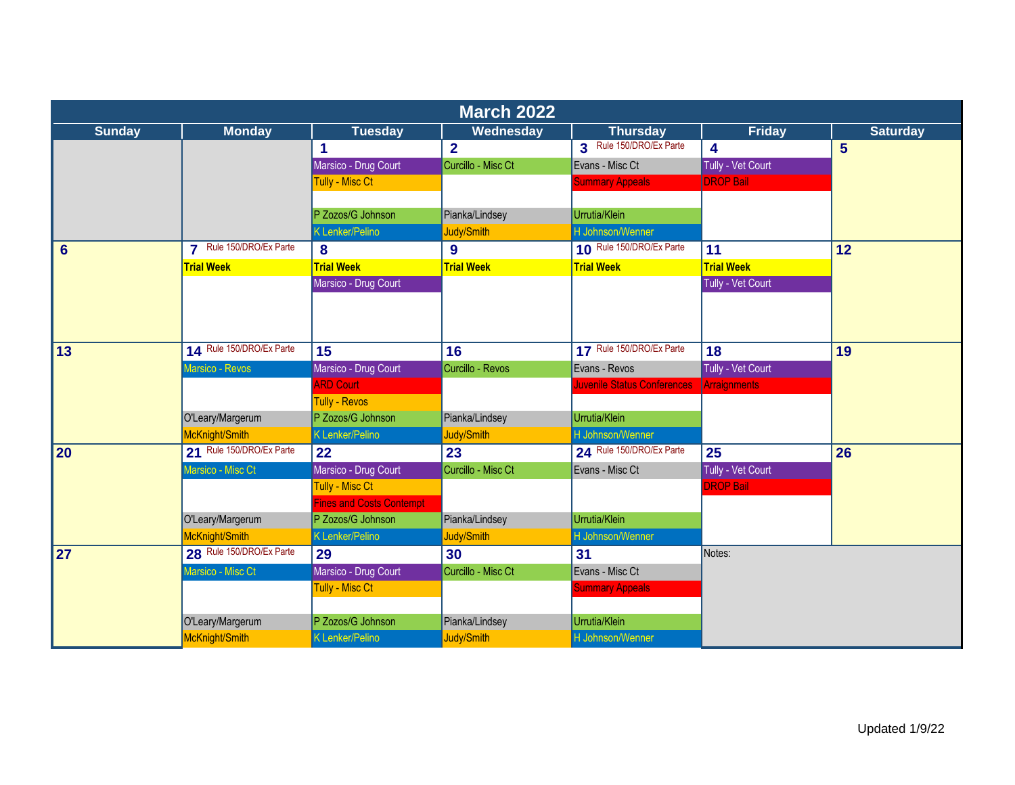|                 |                          |                          | <b>March 2022</b>  |                             |                   |                 |
|-----------------|--------------------------|--------------------------|--------------------|-----------------------------|-------------------|-----------------|
| <b>Sunday</b>   | <b>Monday</b>            | <b>Tuesday</b>           | Wednesday          | <b>Thursday</b>             | <b>Friday</b>     | <b>Saturday</b> |
|                 |                          | 1                        | $\overline{2}$     | 3 Rule 150/DRO/Ex Parte     | 4                 | 5               |
|                 |                          | Marsico - Drug Court     | Curcillo - Misc Ct | Evans - Misc Ct             | Tully - Vet Court |                 |
|                 |                          | <b>Tully - Misc Ct</b>   |                    | <b>Summary Appeals</b>      | <b>DROP Bail</b>  |                 |
|                 |                          |                          |                    |                             |                   |                 |
|                 |                          | P Zozos/G Johnson        | Pianka/Lindsey     | Urrutia/Klein               |                   |                 |
|                 |                          | <b>K Lenker/Pelino</b>   | Judy/Smith         | H Johnson/Wenner            |                   |                 |
| $6\phantom{1}6$ | 7 Rule 150/DRO/Ex Parte  | 8                        | 9                  | 10 Rule 150/DRO/Ex Parte    | 11                | 12              |
|                 | <b>Trial Week</b>        | <b>Trial Week</b>        | <b>Trial Week</b>  | <b>Trial Week</b>           | <b>Trial Week</b> |                 |
|                 |                          | Marsico - Drug Court     |                    |                             | Tully - Vet Court |                 |
|                 |                          |                          |                    |                             |                   |                 |
|                 |                          |                          |                    |                             |                   |                 |
| $\overline{13}$ | 14 Rule 150/DRO/Ex Parte | 15                       | 16                 | 17 Rule 150/DRO/Ex Parte    | 18                | 19              |
|                 | Marsico - Revos          | Marsico - Drug Court     | Curcillo - Revos   | Evans - Revos               | Tully - Vet Court |                 |
|                 |                          | <b>ARD Court</b>         |                    | Juvenile Status Conferences | Arraignments      |                 |
|                 |                          | <b>Tully - Revos</b>     |                    |                             |                   |                 |
|                 | O'Leary/Margerum         | P Zozos/G Johnson        | Pianka/Lindsey     | Urrutia/Klein               |                   |                 |
|                 | McKnight/Smith           | <b>K</b> Lenker/Pelino   | Judy/Smith         | H Johnson/Wenner            |                   |                 |
| 20              | 21 Rule 150/DRO/Ex Parte | 22                       | 23                 | 24 Rule 150/DRO/Ex Parte    | 25                | 26              |
|                 | Marsico - Misc Ct        | Marsico - Drug Court     | Curcillo - Misc Ct | Evans - Misc Ct             | Tully - Vet Court |                 |
|                 |                          | Tully - Misc Ct          |                    |                             | <b>DROP Bail</b>  |                 |
|                 |                          | Fines and Costs Contempt |                    |                             |                   |                 |
|                 | O'Leary/Margerum         | P Zozos/G Johnson        | Pianka/Lindsey     | Urrutia/Klein               |                   |                 |
|                 | McKnight/Smith           | <b>K Lenker/Pelino</b>   | Judy/Smith         | H Johnson/Wenner            |                   |                 |
| 27              | 28 Rule 150/DRO/Ex Parte | 29                       | 30                 | 31                          | Notes:            |                 |
|                 | Marsico - Misc Ct        | Marsico - Drug Court     | Curcillo - Misc Ct | Evans - Misc Ct             |                   |                 |
|                 |                          | <b>Tully - Misc Ct</b>   |                    | <b>Summary Appeals</b>      |                   |                 |
|                 |                          |                          |                    |                             |                   |                 |
|                 | O'Leary/Margerum         | P Zozos/G Johnson        | Pianka/Lindsey     | Urrutia/Klein               |                   |                 |
|                 | McKnight/Smith           | K Lenker/Pelino          | Judy/Smith         | H Johnson/Wenner            |                   |                 |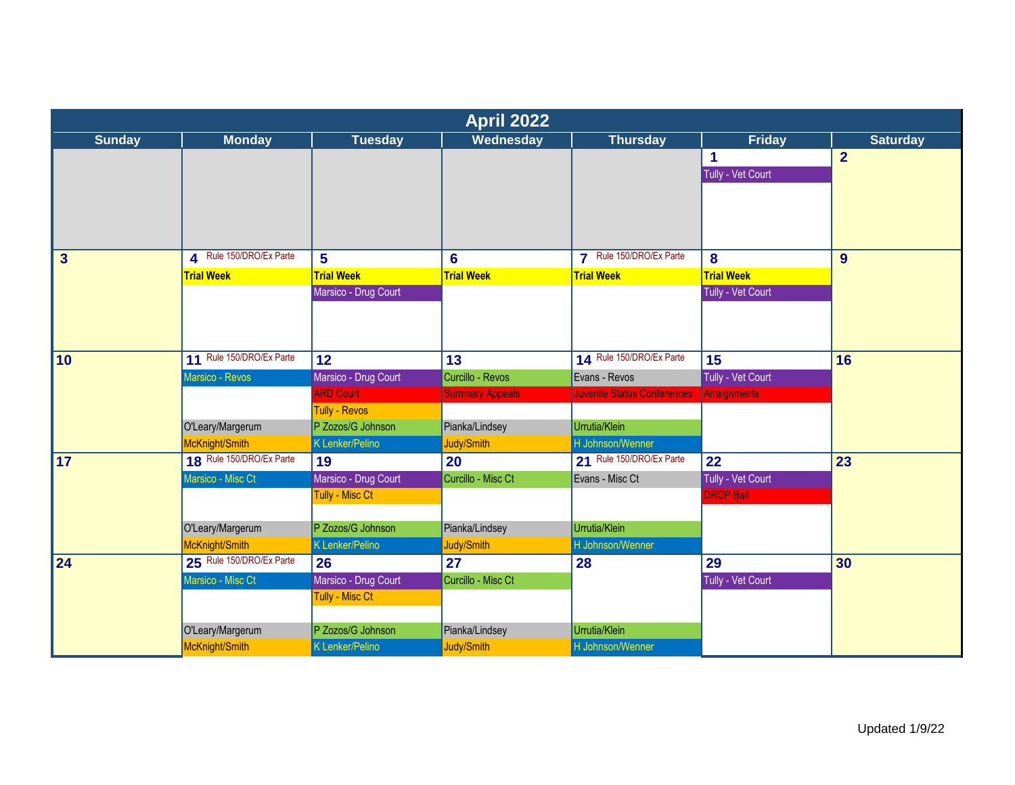| Wednesday<br>Thursday<br><b>Friday</b><br><b>Saturday</b><br><b>Sunday</b><br><b>Monday</b><br><b>Tuesday</b><br>$\overline{2}$<br>1<br>Tully - Vet Court<br>4 Rule 150/DRO/Ex Parte<br>7 Rule 150/DRO/Ex Parte<br>$5\phantom{a}$<br>8<br>9<br>$\mathbf{3}$<br>$6\phantom{a}$<br><b>Trial Week</b><br><b>Trial Week</b><br><b>Trial Week</b><br><b>Trial Week</b><br><b>Trial Week</b> |
|----------------------------------------------------------------------------------------------------------------------------------------------------------------------------------------------------------------------------------------------------------------------------------------------------------------------------------------------------------------------------------------|
|                                                                                                                                                                                                                                                                                                                                                                                        |
|                                                                                                                                                                                                                                                                                                                                                                                        |
|                                                                                                                                                                                                                                                                                                                                                                                        |
|                                                                                                                                                                                                                                                                                                                                                                                        |
|                                                                                                                                                                                                                                                                                                                                                                                        |
|                                                                                                                                                                                                                                                                                                                                                                                        |
|                                                                                                                                                                                                                                                                                                                                                                                        |
|                                                                                                                                                                                                                                                                                                                                                                                        |
| Marsico - Drug Court<br>Tully - Vet Court                                                                                                                                                                                                                                                                                                                                              |
|                                                                                                                                                                                                                                                                                                                                                                                        |
|                                                                                                                                                                                                                                                                                                                                                                                        |
| 11 Rule 150/DRO/Ex Parte<br>14 Rule 150/DRO/Ex Parte<br>$\overline{10}$<br>12<br>13<br>15<br>16                                                                                                                                                                                                                                                                                        |
| Marsico - Revos<br>Marsico - Drug Court<br>Curcillo - Revos<br>Tully - Vet Court<br>Evans - Revos                                                                                                                                                                                                                                                                                      |
| <b>ARD Court</b><br><b>Summary Appeals</b><br><b>Juvenile Status Conferences</b><br>Arraignments                                                                                                                                                                                                                                                                                       |
| <b>Tully - Revos</b>                                                                                                                                                                                                                                                                                                                                                                   |
| Pianka/Lindsey<br>Urrutia/Klein<br>O'Leary/Margerum<br>P Zozos/G Johnson                                                                                                                                                                                                                                                                                                               |
| McKnight/Smith<br><b>K</b> Lenker/Pelino<br>Judy/Smith<br>H Johnson/Wenner                                                                                                                                                                                                                                                                                                             |
| 18 Rule 150/DRO/Ex Parte<br>21 Rule 150/DRO/Ex Parte<br><b>17</b><br>20<br>22<br>23<br>19                                                                                                                                                                                                                                                                                              |
| Marsico - Misc Ct<br>Marsico - Drug Court<br>Curcillo - Misc Ct<br>Tully - Vet Court<br>Evans - Misc Ct                                                                                                                                                                                                                                                                                |
| Tully - Misc Ct<br><b>DROP Bail</b>                                                                                                                                                                                                                                                                                                                                                    |
|                                                                                                                                                                                                                                                                                                                                                                                        |
| Urrutia/Klein<br>P Zozos/G Johnson<br>Pianka/Lindsey<br>O'Leary/Margerum                                                                                                                                                                                                                                                                                                               |
| McKnight/Smith<br>K Lenker/Pelino<br>Judy/Smith<br>H Johnson/Wenner                                                                                                                                                                                                                                                                                                                    |
| 25 Rule 150/DRO/Ex Parte<br>24<br>26<br>27<br>28<br>29<br>30                                                                                                                                                                                                                                                                                                                           |
| Marsico - Misc Ct<br>Marsico - Drug Court<br>Curcillo - Misc Ct<br>Tully - Vet Court                                                                                                                                                                                                                                                                                                   |
| <b>Tully - Misc Ct</b>                                                                                                                                                                                                                                                                                                                                                                 |
| P Zozos/G Johnson<br>Pianka/Lindsey<br>Urrutia/Klein<br>O'Leary/Margerum                                                                                                                                                                                                                                                                                                               |
| McKnight/Smith<br><b>K Lenker/Pelino</b><br>Judy/Smith<br>H Johnson/Wenner                                                                                                                                                                                                                                                                                                             |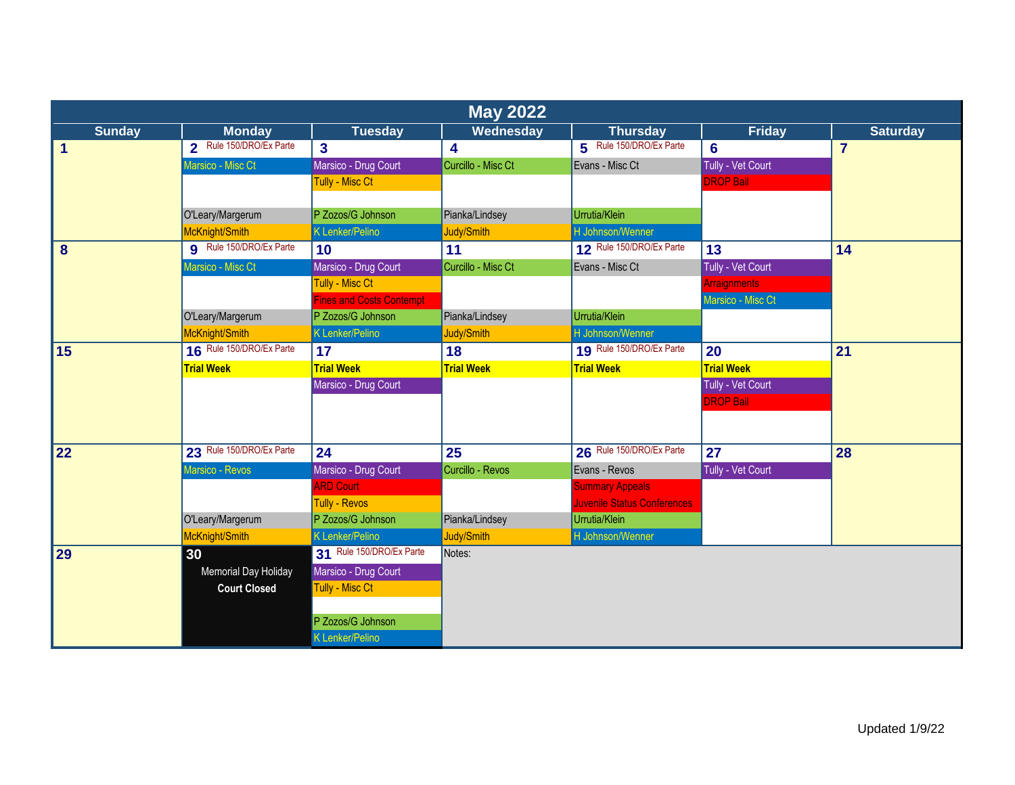|               | <b>May 2022</b>          |                          |                    |                                    |                     |                 |  |  |
|---------------|--------------------------|--------------------------|--------------------|------------------------------------|---------------------|-----------------|--|--|
| <b>Sunday</b> | <b>Monday</b>            | <b>Tuesday</b>           | <b>Wednesday</b>   | <b>Thursday</b>                    | <b>Friday</b>       | <b>Saturday</b> |  |  |
| 1             | 2 Rule 150/DRO/Ex Parte  | $\overline{\mathbf{3}}$  | 4                  | 5 Rule 150/DRO/Ex Parte            | $6\phantom{1}6$     | $\overline{7}$  |  |  |
|               | Marsico - Misc Ct        | Marsico - Drug Court     | Curcillo - Misc Ct | Evans - Misc Ct                    | Tully - Vet Court   |                 |  |  |
|               |                          | <b>Tully - Misc Ct</b>   |                    |                                    | <b>DROP Bail</b>    |                 |  |  |
|               |                          |                          |                    |                                    |                     |                 |  |  |
|               | O'Leary/Margerum         | P Zozos/G Johnson        | Pianka/Lindsey     | Urrutia/Klein                      |                     |                 |  |  |
|               | McKnight/Smith           | <b>K Lenker/Pelino</b>   | Judy/Smith         | H Johnson/Wenner                   |                     |                 |  |  |
| 8             | 9 Rule 150/DRO/Ex Parte  | 10                       | 11                 | 12 Rule 150/DRO/Ex Parte           | 13                  | 14              |  |  |
|               | Marsico - Misc Ct        | Marsico - Drug Court     | Curcillo - Misc Ct | Evans - Misc Ct                    | Tully - Vet Court   |                 |  |  |
|               |                          | Tully - Misc Ct          |                    |                                    | <b>Arraignments</b> |                 |  |  |
|               |                          | Fines and Costs Contempt |                    |                                    | Marsico - Misc Ct   |                 |  |  |
|               | O'Leary/Margerum         | P Zozos/G Johnson        | Pianka/Lindsey     | Urrutia/Klein                      |                     |                 |  |  |
|               | McKnight/Smith           | <b>K Lenker/Pelino</b>   | Judy/Smith         | H Johnson/Wenner                   |                     |                 |  |  |
| 15            | 16 Rule 150/DRO/Ex Parte | 17                       | 18                 | 19 Rule 150/DRO/Ex Parte           | 20                  | 21              |  |  |
|               | <b>Trial Week</b>        | <b>Trial Week</b>        | <b>Trial Week</b>  | <b>Trial Week</b>                  | <b>Trial Week</b>   |                 |  |  |
|               |                          | Marsico - Drug Court     |                    |                                    | Tully - Vet Court   |                 |  |  |
|               |                          |                          |                    |                                    | <b>DROP Bail</b>    |                 |  |  |
|               |                          |                          |                    |                                    |                     |                 |  |  |
|               |                          |                          |                    |                                    |                     |                 |  |  |
| 22            | 23 Rule 150/DRO/Ex Parte | 24                       | 25                 | 26 Rule 150/DRO/Ex Parte           | 27                  | 28              |  |  |
|               | Marsico - Revos          | Marsico - Drug Court     | Curcillo - Revos   | Evans - Revos                      | Tully - Vet Court   |                 |  |  |
|               |                          | <b>ARD Court</b>         |                    | <b>Summary Appeals</b>             |                     |                 |  |  |
|               |                          | <b>Tully - Revos</b>     |                    | <b>Juvenile Status Conferences</b> |                     |                 |  |  |
|               | O'Leary/Margerum         | P Zozos/G Johnson        | Pianka/Lindsey     | Urrutia/Klein                      |                     |                 |  |  |
|               | McKnight/Smith           | K Lenker/Pelino          | Judy/Smith         | H Johnson/Wenner                   |                     |                 |  |  |
| 29            | 30                       | 31 Rule 150/DRO/Ex Parte | Notes:             |                                    |                     |                 |  |  |
|               | Memorial Day Holiday     | Marsico - Drug Court     |                    |                                    |                     |                 |  |  |
|               | <b>Court Closed</b>      | Tully - Misc Ct          |                    |                                    |                     |                 |  |  |
|               |                          |                          |                    |                                    |                     |                 |  |  |
|               |                          | P Zozos/G Johnson        |                    |                                    |                     |                 |  |  |
|               |                          | K Lenker/Pelino          |                    |                                    |                     |                 |  |  |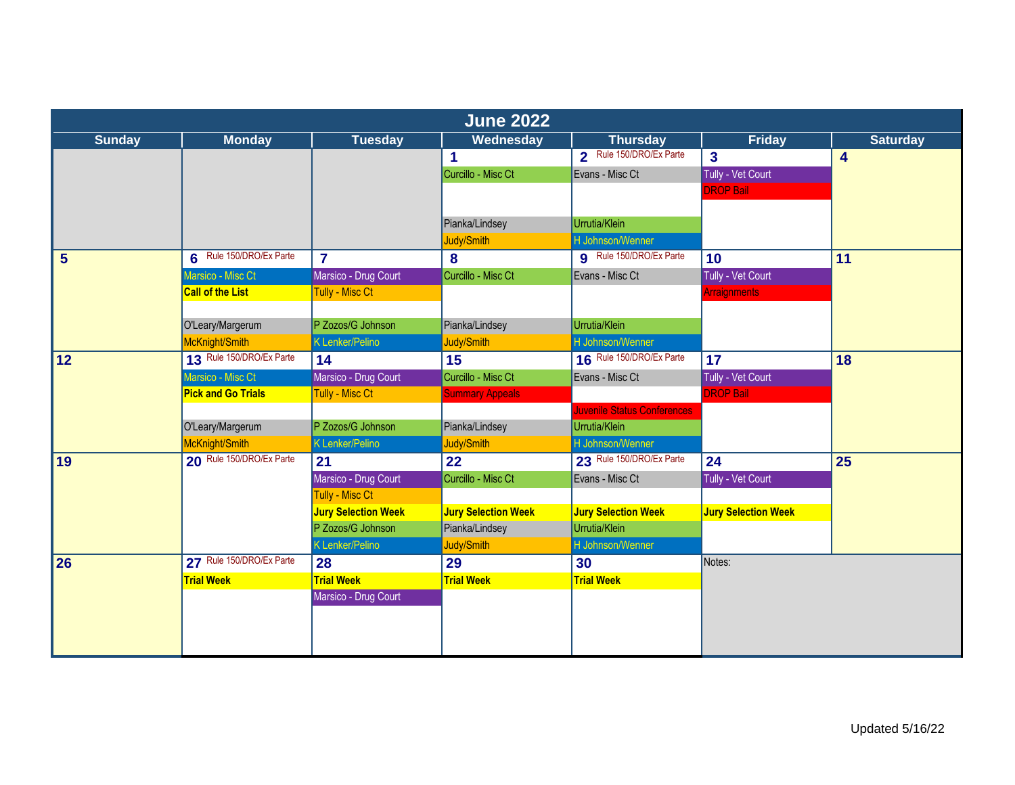|                | <b>June 2022</b>          |                            |                            |                                    |                            |                 |  |  |
|----------------|---------------------------|----------------------------|----------------------------|------------------------------------|----------------------------|-----------------|--|--|
| <b>Sunday</b>  | <b>Monday</b>             | <b>Tuesday</b>             | Wednesday                  | <b>Thursday</b>                    | <b>Friday</b>              | <b>Saturday</b> |  |  |
|                |                           |                            | 1                          | 2 Rule 150/DRO/Ex Parte            | $\overline{\mathbf{3}}$    | 4               |  |  |
|                |                           |                            | Curcillo - Misc Ct         | Evans - Misc Ct                    | Tully - Vet Court          |                 |  |  |
|                |                           |                            |                            |                                    | <b>DROP Bail</b>           |                 |  |  |
|                |                           |                            |                            |                                    |                            |                 |  |  |
|                |                           |                            | Pianka/Lindsey             | Urrutia/Klein                      |                            |                 |  |  |
|                |                           |                            | Judy/Smith                 | H Johnson/Wenner                   |                            |                 |  |  |
| $5\phantom{1}$ | 6 Rule 150/DRO/Ex Parte   | $\overline{7}$             | 8                          | <b>9</b> Rule 150/DRO/Ex Parte     | 10                         | 11              |  |  |
|                | Marsico - Misc Ct         | Marsico - Drug Court       | Curcillo - Misc Ct         | Evans - Misc Ct                    | Tully - Vet Court          |                 |  |  |
|                | <b>Call of the List</b>   | Tully - Misc Ct            |                            |                                    | <b>Arraignments</b>        |                 |  |  |
|                |                           |                            |                            |                                    |                            |                 |  |  |
|                | O'Leary/Margerum          | P Zozos/G Johnson          | Pianka/Lindsey             | Urrutia/Klein                      |                            |                 |  |  |
|                | McKnight/Smith            | <b>K Lenker/Pelino</b>     | Judy/Smith                 | H Johnson/Wenner                   |                            |                 |  |  |
| <b>12</b>      | 13 Rule 150/DRO/Ex Parte  | 14                         | 15                         | 16 Rule 150/DRO/Ex Parte           | 17                         | 18              |  |  |
|                | Marsico - Misc Ct         | Marsico - Drug Court       | Curcillo - Misc Ct         | Evans - Misc Ct                    | Tully - Vet Court          |                 |  |  |
|                | <b>Pick and Go Trials</b> | Tully - Misc Ct            | <b>Summary Appeals</b>     |                                    | <b>DROP Bail</b>           |                 |  |  |
|                |                           |                            |                            | <b>Juvenile Status Conferences</b> |                            |                 |  |  |
|                | O'Leary/Margerum          | P Zozos/G Johnson          | Pianka/Lindsey             | Urrutia/Klein                      |                            |                 |  |  |
|                | McKnight/Smith            | <b>K</b> Lenker/Pelino     | Judy/Smith                 | H Johnson/Wenner                   |                            |                 |  |  |
| 19             | 20 Rule 150/DRO/Ex Parte  | 21                         | 22                         | 23 Rule 150/DRO/Ex Parte           | 24                         | 25              |  |  |
|                |                           | Marsico - Drug Court       | Curcillo - Misc Ct         | Evans - Misc Ct                    | Tully - Vet Court          |                 |  |  |
|                |                           | <b>Tully - Misc Ct</b>     |                            |                                    |                            |                 |  |  |
|                |                           | <b>Jury Selection Week</b> | <b>Jury Selection Week</b> | <b>Jury Selection Week</b>         | <b>Jury Selection Week</b> |                 |  |  |
|                |                           | P Zozos/G Johnson          | Pianka/Lindsey             | Urrutia/Klein                      |                            |                 |  |  |
|                |                           | <b>K Lenker/Pelino</b>     | Judy/Smith                 | H Johnson/Wenner                   |                            |                 |  |  |
| 26             | 27 Rule 150/DRO/Ex Parte  | 28                         | 29                         | 30                                 | Notes:                     |                 |  |  |
|                | <b>Trial Week</b>         | <b>Trial Week</b>          | <b>Trial Week</b>          | <b>Trial Week</b>                  |                            |                 |  |  |
|                |                           | Marsico - Drug Court       |                            |                                    |                            |                 |  |  |
|                |                           |                            |                            |                                    |                            |                 |  |  |
|                |                           |                            |                            |                                    |                            |                 |  |  |
|                |                           |                            |                            |                                    |                            |                 |  |  |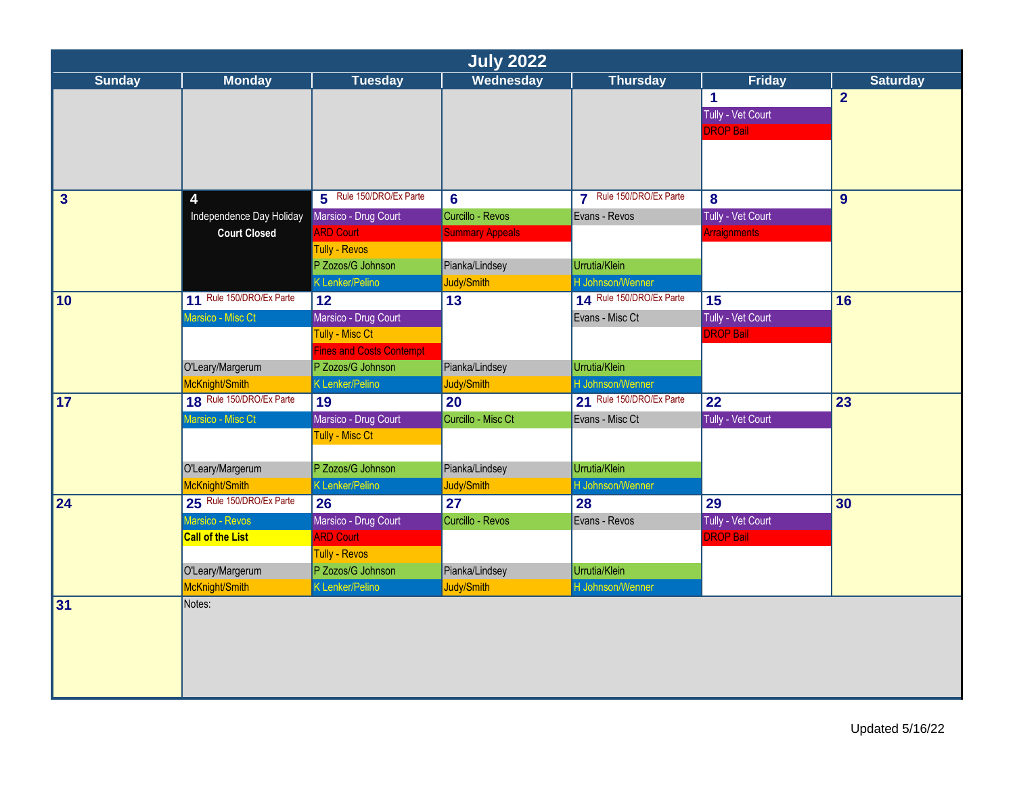|                         | <b>July 2022</b>         |                                 |                        |                          |                      |                 |  |  |
|-------------------------|--------------------------|---------------------------------|------------------------|--------------------------|----------------------|-----------------|--|--|
| <b>Sunday</b>           | <b>Monday</b>            | <b>Tuesday</b>                  | Wednesday              | <b>Thursday</b>          | <b>Friday</b>        | <b>Saturday</b> |  |  |
|                         |                          |                                 |                        |                          | $\blacktriangleleft$ | $\overline{2}$  |  |  |
|                         |                          |                                 |                        |                          | Tully - Vet Court    |                 |  |  |
|                         |                          |                                 |                        |                          | <b>DROP Bail</b>     |                 |  |  |
|                         |                          |                                 |                        |                          |                      |                 |  |  |
|                         |                          |                                 |                        |                          |                      |                 |  |  |
|                         |                          |                                 |                        |                          |                      |                 |  |  |
| $\overline{\mathbf{3}}$ | 4                        | 5 Rule 150/DRO/Ex Parte         | $6 \,$                 | 7 Rule 150/DRO/Ex Parte  | 8                    | 9               |  |  |
|                         | Independence Day Holiday | Marsico - Drug Court            | Curcillo - Revos       | Evans - Revos            | Tully - Vet Court    |                 |  |  |
|                         | <b>Court Closed</b>      | <b>ARD Court</b>                | <b>Summary Appeals</b> |                          | <b>Arraignments</b>  |                 |  |  |
|                         |                          | <b>Tully - Revos</b>            |                        |                          |                      |                 |  |  |
|                         |                          | P Zozos/G Johnson               | Pianka/Lindsey         | Urrutia/Klein            |                      |                 |  |  |
|                         |                          | <b>K</b> Lenker/Pelino          | Judy/Smith             | H Johnson/Wenner         |                      |                 |  |  |
| 10                      | 11 Rule 150/DRO/Ex Parte | 12                              | 13                     | 14 Rule 150/DRO/Ex Parte | 15                   | 16              |  |  |
|                         | Marsico - Misc Ct        | Marsico - Drug Court            |                        | Evans - Misc Ct          | Tully - Vet Court    |                 |  |  |
|                         |                          | Tully - Misc Ct                 |                        |                          | <b>DROP Bail</b>     |                 |  |  |
|                         |                          | <b>Fines and Costs Contempt</b> |                        |                          |                      |                 |  |  |
|                         | O'Leary/Margerum         | P Zozos/G Johnson               | Pianka/Lindsey         | Urrutia/Klein            |                      |                 |  |  |
|                         | McKnight/Smith           | K Lenker/Pelino                 | Judy/Smith             | H Johnson/Wenner         |                      |                 |  |  |
| 17                      | 18 Rule 150/DRO/Ex Parte | 19                              | 20                     | 21 Rule 150/DRO/Ex Parte | 22                   | 23              |  |  |
|                         | Marsico - Misc Ct        | Marsico - Drug Court            | Curcillo - Misc Ct     | Evans - Misc Ct          | Tully - Vet Court    |                 |  |  |
|                         |                          | Tully - Misc Ct                 |                        |                          |                      |                 |  |  |
|                         |                          |                                 |                        |                          |                      |                 |  |  |
|                         | O'Leary/Margerum         | P Zozos/G Johnson               | Pianka/Lindsey         | Urrutia/Klein            |                      |                 |  |  |
|                         | McKnight/Smith           | K Lenker/Pelino                 | Judy/Smith             | H Johnson/Wenner         |                      |                 |  |  |
| 24                      | 25 Rule 150/DRO/Ex Parte | 26                              | 27                     | 28                       | 29                   | 30              |  |  |
|                         | Marsico - Revos          | Marsico - Drug Court            | Curcillo - Revos       | Evans - Revos            | Tully - Vet Court    |                 |  |  |
|                         | <b>Call of the List</b>  | <b>ARD Court</b>                |                        |                          | <b>DROP Bail</b>     |                 |  |  |
|                         |                          | Tully - Revos                   |                        |                          |                      |                 |  |  |
|                         | O'Leary/Margerum         | P Zozos/G Johnson               | Pianka/Lindsey         | Urrutia/Klein            |                      |                 |  |  |
|                         | McKnight/Smith           | K Lenker/Pelino                 | Judy/Smith             | H Johnson/Wenner         |                      |                 |  |  |
| 31                      | Notes:                   |                                 |                        |                          |                      |                 |  |  |
|                         |                          |                                 |                        |                          |                      |                 |  |  |
|                         |                          |                                 |                        |                          |                      |                 |  |  |
|                         |                          |                                 |                        |                          |                      |                 |  |  |
|                         |                          |                                 |                        |                          |                      |                 |  |  |
|                         |                          |                                 |                        |                          |                      |                 |  |  |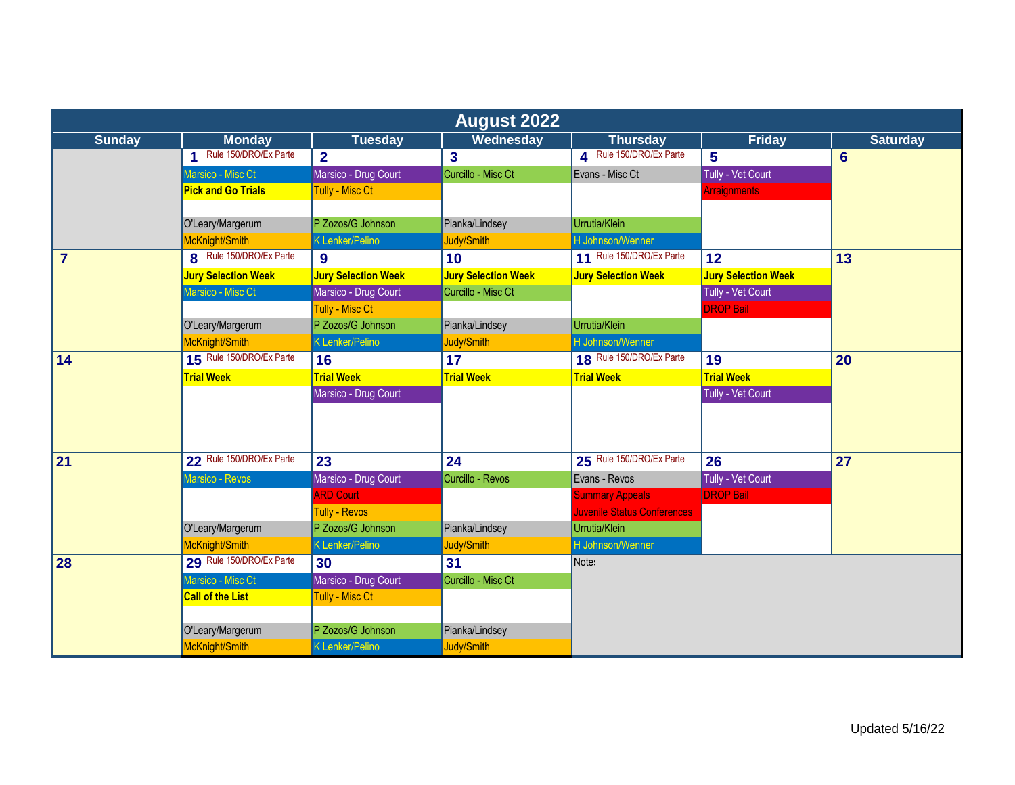|                |                            |                            | <b>August 2022</b>         |                                    |                            |                 |
|----------------|----------------------------|----------------------------|----------------------------|------------------------------------|----------------------------|-----------------|
| <b>Sunday</b>  | <b>Monday</b>              | <b>Tuesday</b>             | <b>Wednesday</b>           | <b>Thursday</b>                    | <b>Friday</b>              | <b>Saturday</b> |
|                | Rule 150/DRO/Ex Parte<br>1 | $\overline{2}$             | $\overline{3}$             | A Rule 150/DRO/Ex Parte            | 5                          | $6\phantom{1}$  |
|                | Marsico - Misc Ct          | Marsico - Drug Court       | Curcillo - Misc Ct         | Evans - Misc Ct                    | Tully - Vet Court          |                 |
|                | <b>Pick and Go Trials</b>  | Tully - Misc Ct            |                            |                                    | Arraignments               |                 |
|                |                            |                            |                            |                                    |                            |                 |
|                | O'Leary/Margerum           | P Zozos/G Johnson          | Pianka/Lindsey             | Urrutia/Klein                      |                            |                 |
|                | McKnight/Smith             | <b>K Lenker/Pelino</b>     | Judy/Smith                 | H Johnson/Wenner                   |                            |                 |
| $\overline{7}$ | 8 Rule 150/DRO/Ex Parte    | 9                          | 10 <sup>°</sup>            | 11 Rule 150/DRO/Ex Parte           | 12                         | 13              |
|                | <b>Jury Selection Week</b> | <b>Jury Selection Week</b> | <b>Jury Selection Week</b> | <b>Jury Selection Week</b>         | <b>Jury Selection Week</b> |                 |
|                | Marsico - Misc Ct          | Marsico - Drug Court       | Curcillo - Misc Ct         |                                    | Tully - Vet Court          |                 |
|                |                            | Tully - Misc Ct            |                            |                                    | <b>DROP Bail</b>           |                 |
|                | O'Leary/Margerum           | P Zozos/G Johnson          | Pianka/Lindsey             | Urrutia/Klein                      |                            |                 |
|                | McKnight/Smith             | K Lenker/Pelino            | Judy/Smith                 | H Johnson/Wenner                   |                            |                 |
| 14             | 15 Rule 150/DRO/Ex Parte   | 16                         | 17                         | 18 Rule 150/DRO/Ex Parte           | 19                         | 20              |
|                | <b>Trial Week</b>          | <b>Trial Week</b>          | <b>Trial Week</b>          | <b>Trial Week</b>                  | <b>Trial Week</b>          |                 |
|                |                            | Marsico - Drug Court       |                            |                                    | Tully - Vet Court          |                 |
|                |                            |                            |                            |                                    |                            |                 |
|                |                            |                            |                            |                                    |                            |                 |
| 21             | 22 Rule 150/DRO/Ex Parte   | 23                         | 24                         | 25 Rule 150/DRO/Ex Parte           | 26                         | 27              |
|                | Marsico - Revos            | Marsico - Drug Court       | Curcillo - Revos           | Evans - Revos                      | Tully - Vet Court          |                 |
|                |                            | <b>ARD Court</b>           |                            | <b>Summary Appeals</b>             | <b>DROP Bail</b>           |                 |
|                |                            | <b>Tully - Revos</b>       |                            | <b>Juvenile Status Conferences</b> |                            |                 |
|                | O'Leary/Margerum           | P Zozos/G Johnson          | Pianka/Lindsey             | Urrutia/Klein                      |                            |                 |
|                | McKnight/Smith             | <b>K Lenker/Pelino</b>     | Judy/Smith                 | H Johnson/Wenner                   |                            |                 |
| 28             | 29 Rule 150/DRO/Ex Parte   | 30                         | 31                         | Note:                              |                            |                 |
|                | Marsico - Misc Ct          | Marsico - Drug Court       | Curcillo - Misc Ct         |                                    |                            |                 |
|                | <b>Call of the List</b>    | <b>Tully - Misc Ct</b>     |                            |                                    |                            |                 |
|                |                            |                            |                            |                                    |                            |                 |
|                | O'Leary/Margerum           | P Zozos/G Johnson          | Pianka/Lindsey             |                                    |                            |                 |
|                | McKnight/Smith             | <b>K Lenker/Pelino</b>     | Judy/Smith                 |                                    |                            |                 |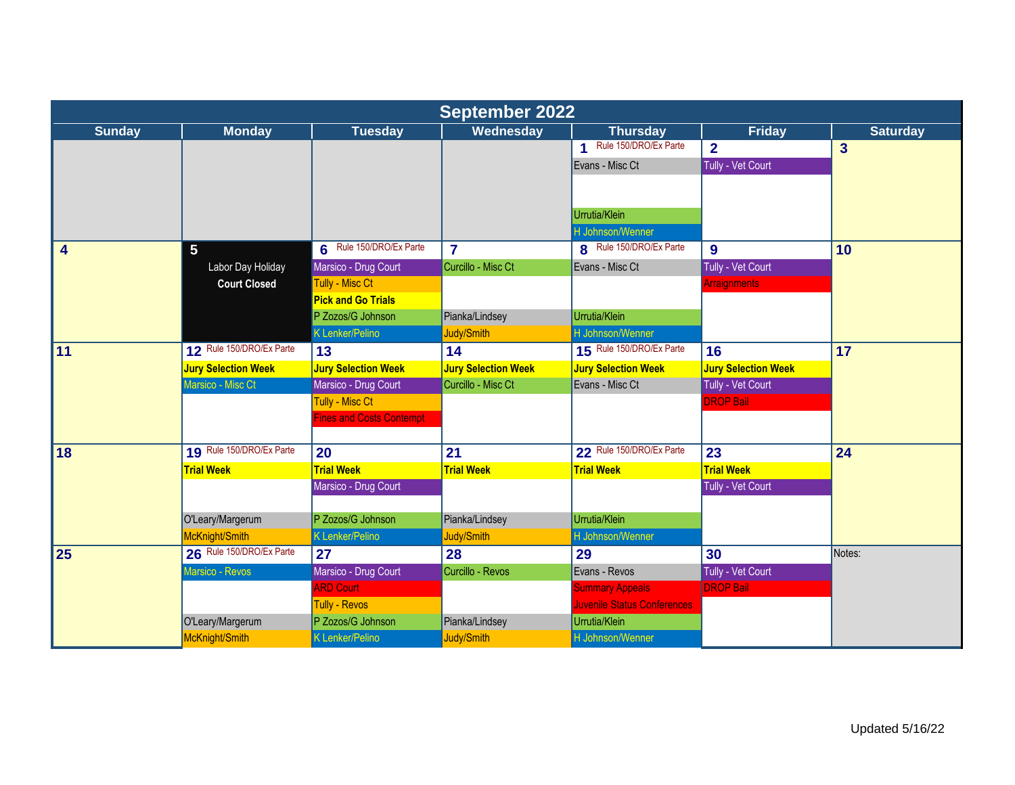|               | <b>September 2022</b>      |                                 |                            |                             |                            |                         |  |  |
|---------------|----------------------------|---------------------------------|----------------------------|-----------------------------|----------------------------|-------------------------|--|--|
| <b>Sunday</b> | <b>Monday</b>              | <b>Tuesday</b>                  | Wednesday                  | <b>Thursday</b>             | <b>Friday</b>              | <b>Saturday</b>         |  |  |
|               |                            |                                 |                            | 1 Rule 150/DRO/Ex Parte     | $\overline{2}$             | $\overline{\mathbf{3}}$ |  |  |
|               |                            |                                 |                            | Evans - Misc Ct             | Tully - Vet Court          |                         |  |  |
|               |                            |                                 |                            |                             |                            |                         |  |  |
|               |                            |                                 |                            |                             |                            |                         |  |  |
|               |                            |                                 |                            | Urrutia/Klein               |                            |                         |  |  |
|               |                            |                                 |                            | H Johnson/Wenner            |                            |                         |  |  |
| 4             | 5 <sup>5</sup>             | 6 Rule 150/DRO/Ex Parte         | $\overline{7}$             | 8 Rule 150/DRO/Ex Parte     | 9                          | 10                      |  |  |
|               | Labor Day Holiday          | Marsico - Drug Court            | Curcillo - Misc Ct         | Evans - Misc Ct             | Tully - Vet Court          |                         |  |  |
|               | <b>Court Closed</b>        | Tully - Misc Ct                 |                            |                             | <b>Arraignments</b>        |                         |  |  |
|               |                            | <b>Pick and Go Trials</b>       |                            |                             |                            |                         |  |  |
|               |                            | P Zozos/G Johnson               | Pianka/Lindsey             | Urrutia/Klein               |                            |                         |  |  |
|               |                            | K Lenker/Pelino                 | Judy/Smith                 | H Johnson/Wenner            |                            |                         |  |  |
| $\sqrt{11}$   | 12 Rule 150/DRO/Ex Parte   | 13                              | 14                         | 15 Rule 150/DRO/Ex Parte    | 16                         | 17                      |  |  |
|               | <b>Jury Selection Week</b> | <b>Jury Selection Week</b>      | <b>Jury Selection Week</b> | <b>Jury Selection Week</b>  | <b>Jury Selection Week</b> |                         |  |  |
|               | Marsico - Misc Ct          | Marsico - Drug Court            | Curcillo - Misc Ct         | Evans - Misc Ct             | Tully - Vet Court          |                         |  |  |
|               |                            | Tully - Misc Ct                 |                            |                             | <b>DROP Bail</b>           |                         |  |  |
|               |                            | <b>Fines and Costs Contempt</b> |                            |                             |                            |                         |  |  |
| <b>18</b>     | 19 Rule 150/DRO/Ex Parte   | 20                              | 21                         | 22 Rule 150/DRO/Ex Parte    | 23                         | 24                      |  |  |
|               | <b>Trial Week</b>          | <b>Trial Week</b>               | <b>Trial Week</b>          | <b>Trial Week</b>           | <b>Trial Week</b>          |                         |  |  |
|               |                            | Marsico - Drug Court            |                            |                             | Tully - Vet Court          |                         |  |  |
|               |                            |                                 |                            |                             |                            |                         |  |  |
|               | O'Leary/Margerum           | P Zozos/G Johnson               | Pianka/Lindsey             | Urrutia/Klein               |                            |                         |  |  |
|               | McKnight/Smith             | <b>K Lenker/Pelino</b>          | Judy/Smith                 | H Johnson/Wenner            |                            |                         |  |  |
| 25            | 26 Rule 150/DRO/Ex Parte   | 27                              | 28                         | 29                          | 30                         | Notes:                  |  |  |
|               | Marsico - Revos            | Marsico - Drug Court            | Curcillo - Revos           | Evans - Revos               | Tully - Vet Court          |                         |  |  |
|               |                            | <b>ARD Court</b>                |                            | <b>Summary Appeals</b>      | <b>DROP Bail</b>           |                         |  |  |
|               |                            | <b>Tully - Revos</b>            |                            | Juvenile Status Conferences |                            |                         |  |  |
|               | O'Leary/Margerum           | P Zozos/G Johnson               | Pianka/Lindsey             | Urrutia/Klein               |                            |                         |  |  |
|               | McKnight/Smith             | K Lenker/Pelino                 | Judy/Smith                 | H Johnson/Wenner            |                            |                         |  |  |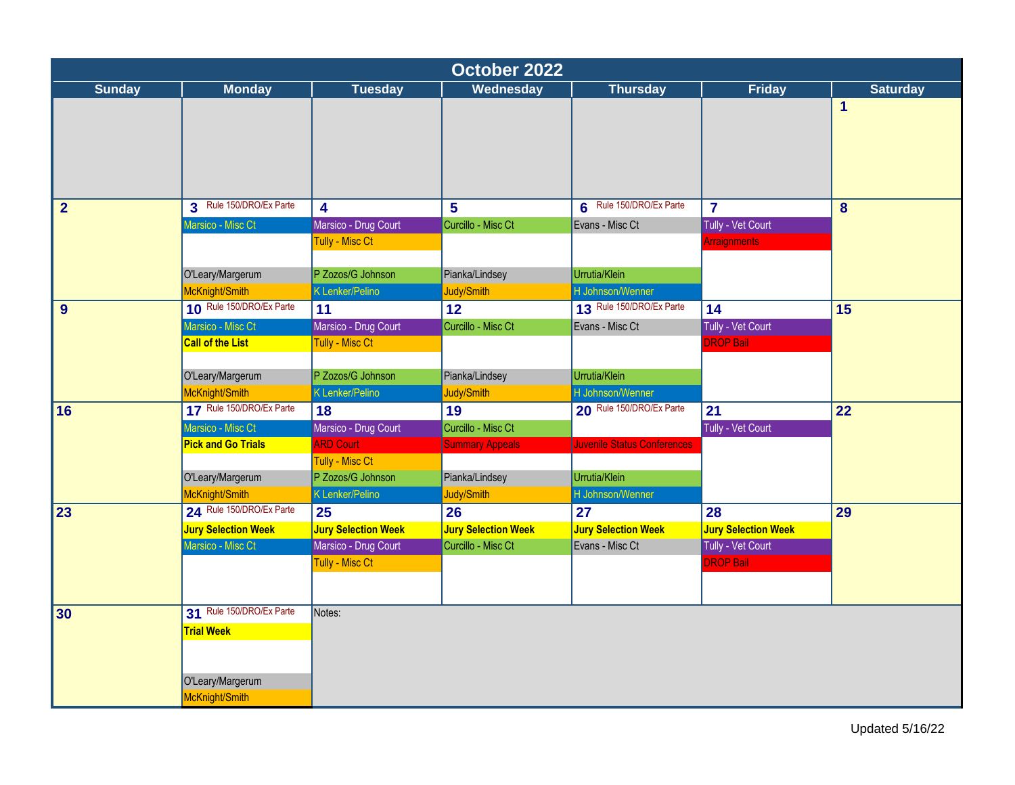|                |                            |                            |                            | October 2022                |                            |                 |  |  |  |  |  |
|----------------|----------------------------|----------------------------|----------------------------|-----------------------------|----------------------------|-----------------|--|--|--|--|--|
| <b>Sunday</b>  | <b>Monday</b>              | <b>Tuesday</b>             | Wednesday                  | <b>Thursday</b>             | <b>Friday</b>              | <b>Saturday</b> |  |  |  |  |  |
|                |                            |                            |                            |                             |                            | 1               |  |  |  |  |  |
| $\overline{2}$ | 3 Rule 150/DRO/Ex Parte    | $\overline{\mathbf{4}}$    | $5\phantom{1}$             | 6 Rule 150/DRO/Ex Parte     | $\overline{7}$             | 8               |  |  |  |  |  |
|                | Marsico - Misc Ct          | Marsico - Drug Court       | Curcillo - Misc Ct         | Evans - Misc Ct             | Tully - Vet Court          |                 |  |  |  |  |  |
|                |                            | Tully - Misc Ct            |                            |                             | Arraignments               |                 |  |  |  |  |  |
|                |                            |                            |                            |                             |                            |                 |  |  |  |  |  |
|                | O'Leary/Margerum           | P Zozos/G Johnson          | Pianka/Lindsey             | Urrutia/Klein               |                            |                 |  |  |  |  |  |
|                | McKnight/Smith             | K Lenker/Pelino            | Judy/Smith                 | H Johnson/Wenner            |                            |                 |  |  |  |  |  |
| 9              | 10 Rule 150/DRO/Ex Parte   | 11                         | 12                         | 13 Rule 150/DRO/Ex Parte    | 14                         | 15              |  |  |  |  |  |
|                | Marsico - Misc Ct          | Marsico - Drug Court       | Curcillo - Misc Ct         | Evans - Misc Ct             | Tully - Vet Court          |                 |  |  |  |  |  |
|                | <b>Call of the List</b>    | Tully - Misc Ct            |                            |                             | <b>DROP Bail</b>           |                 |  |  |  |  |  |
|                |                            |                            |                            |                             |                            |                 |  |  |  |  |  |
|                | O'Leary/Margerum           | P Zozos/G Johnson          | Pianka/Lindsey             | Urrutia/Klein               |                            |                 |  |  |  |  |  |
|                | McKnight/Smith             | K Lenker/Pelino            | Judy/Smith                 | H Johnson/Wenner            |                            |                 |  |  |  |  |  |
| 16             | 17 Rule 150/DRO/Ex Parte   | 18                         | 19                         | 20 Rule 150/DRO/Ex Parte    | 21                         | 22              |  |  |  |  |  |
|                | Marsico - Misc Ct          | Marsico - Drug Court       | Curcillo - Misc Ct         |                             | Tully - Vet Court          |                 |  |  |  |  |  |
|                | <b>Pick and Go Trials</b>  | <b>ARD Court</b>           | <b>Summary Appeals</b>     | Juvenile Status Conferences |                            |                 |  |  |  |  |  |
|                |                            | <b>Tully - Misc Ct</b>     |                            |                             |                            |                 |  |  |  |  |  |
|                | O'Leary/Margerum           | P Zozos/G Johnson          | Pianka/Lindsey             | Urrutia/Klein               |                            |                 |  |  |  |  |  |
|                | McKnight/Smith             | K Lenker/Pelino            | Judy/Smith                 | H Johnson/Wenner            |                            |                 |  |  |  |  |  |
| 23             | 24 Rule 150/DRO/Ex Parte   | 25                         | 26                         | 27                          | 28                         | $\overline{29}$ |  |  |  |  |  |
|                | <b>Jury Selection Week</b> | <b>Jury Selection Week</b> | <b>Jury Selection Week</b> | <b>Jury Selection Week</b>  | <b>Jury Selection Week</b> |                 |  |  |  |  |  |
|                | Marsico - Misc Ct          | Marsico - Drug Court       | Curcillo - Misc Ct         | Evans - Misc Ct             | Tully - Vet Court          |                 |  |  |  |  |  |
|                |                            | Tully - Misc Ct            |                            |                             | <b>DROP Bail</b>           |                 |  |  |  |  |  |
|                |                            |                            |                            |                             |                            |                 |  |  |  |  |  |
| 30             | 31 Rule 150/DRO/Ex Parte   | Notes:                     |                            |                             |                            |                 |  |  |  |  |  |
|                | <b>Trial Week</b>          |                            |                            |                             |                            |                 |  |  |  |  |  |
|                |                            |                            |                            |                             |                            |                 |  |  |  |  |  |
|                |                            |                            |                            |                             |                            |                 |  |  |  |  |  |
|                | O'Leary/Margerum           |                            |                            |                             |                            |                 |  |  |  |  |  |
|                | McKnight/Smith             |                            |                            |                             |                            |                 |  |  |  |  |  |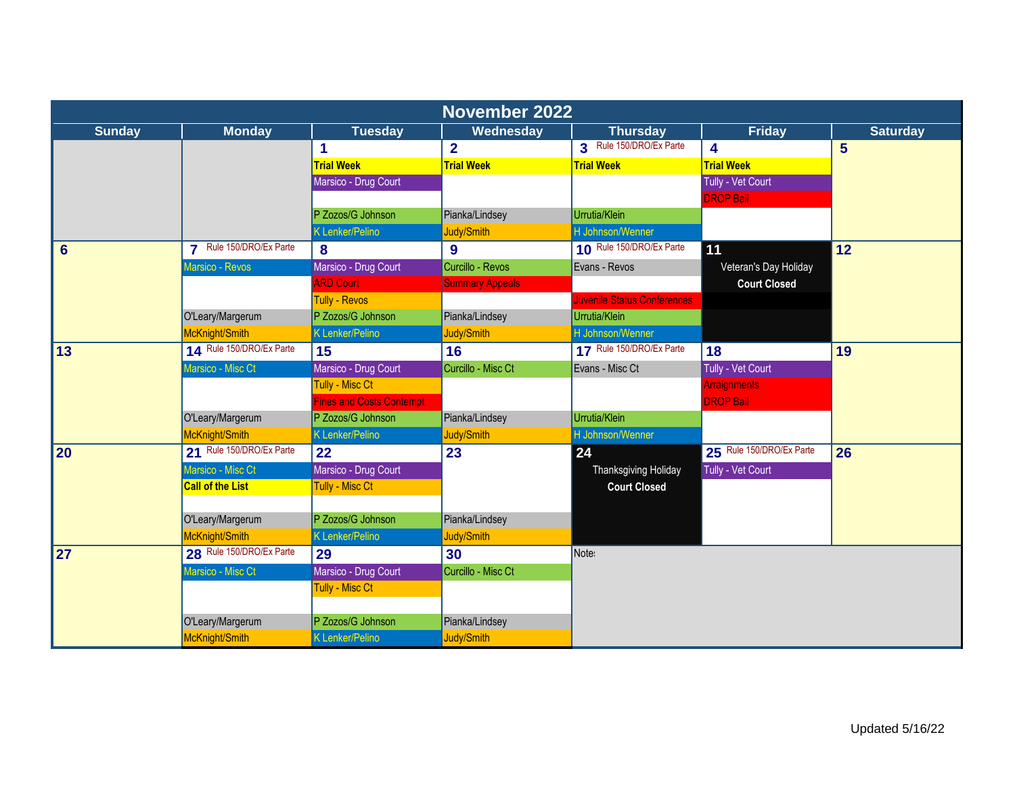|                 | <b>November 2022</b>     |                          |                         |                                    |                          |                 |  |  |
|-----------------|--------------------------|--------------------------|-------------------------|------------------------------------|--------------------------|-----------------|--|--|
| <b>Sunday</b>   | <b>Monday</b>            | <b>Tuesday</b>           | Wednesday               | <b>Thursday</b>                    | <b>Friday</b>            | <b>Saturday</b> |  |  |
|                 |                          | 1                        | $\overline{\mathbf{2}}$ | 3 Rule 150/DRO/Ex Parte            | 4                        | $5\overline{)}$ |  |  |
|                 |                          | <b>Trial Week</b>        | <b>Trial Week</b>       | <b>Trial Week</b>                  | <b>Trial Week</b>        |                 |  |  |
|                 |                          | Marsico - Drug Court     |                         |                                    | Tully - Vet Court        |                 |  |  |
|                 |                          |                          |                         |                                    | <b>DROP Bail</b>         |                 |  |  |
|                 |                          | P Zozos/G Johnson        | Pianka/Lindsey          | Urrutia/Klein                      |                          |                 |  |  |
|                 |                          | <b>K Lenker/Pelino</b>   | Judy/Smith              | H Johnson/Wenner                   |                          |                 |  |  |
| $6\phantom{1}6$ | 7 Rule 150/DRO/Ex Parte  | 8                        | 9                       | 10 Rule 150/DRO/Ex Parte           | 11                       | 12              |  |  |
|                 | Marsico - Revos          | Marsico - Drug Court     | Curcillo - Revos        | Evans - Revos                      | Veteran's Day Holiday    |                 |  |  |
|                 |                          | <b>ARD Court</b>         | <b>Summary Appeals</b>  |                                    | <b>Court Closed</b>      |                 |  |  |
|                 |                          | <b>Tully - Revos</b>     |                         | <b>Juvenile Status Conferences</b> |                          |                 |  |  |
|                 | O'Leary/Margerum         | P Zozos/G Johnson        | Pianka/Lindsey          | Urrutia/Klein                      |                          |                 |  |  |
|                 | McKnight/Smith           | K Lenker/Pelino          | Judy/Smith              | H Johnson/Wenner                   |                          |                 |  |  |
| 13              | 14 Rule 150/DRO/Ex Parte | 15                       | 16                      | 17 Rule 150/DRO/Ex Parte           | 18                       | 19              |  |  |
|                 | Marsico - Misc Ct        | Marsico - Drug Court     | Curcillo - Misc Ct      | Evans - Misc Ct                    | Tully - Vet Court        |                 |  |  |
|                 |                          | Tully - Misc Ct          |                         |                                    | <b>Arraignments</b>      |                 |  |  |
|                 |                          | Fines and Costs Contempt |                         |                                    | <b>DROP Bail</b>         |                 |  |  |
|                 | O'Leary/Margerum         | P Zozos/G Johnson        | Pianka/Lindsey          | Urrutia/Klein                      |                          |                 |  |  |
|                 | McKnight/Smith           | <b>K Lenker/Pelino</b>   | Judy/Smith              | H Johnson/Wenner                   |                          |                 |  |  |
| <b>20</b>       | 21 Rule 150/DRO/Ex Parte | 22                       | 23                      | 24                                 | 25 Rule 150/DRO/Ex Parte | 26              |  |  |
|                 | Marsico - Misc Ct        | Marsico - Drug Court     |                         | Thanksgiving Holiday               | Tully - Vet Court        |                 |  |  |
|                 | <b>Call of the List</b>  | Tully - Misc Ct          |                         | <b>Court Closed</b>                |                          |                 |  |  |
|                 |                          |                          |                         |                                    |                          |                 |  |  |
|                 | O'Leary/Margerum         | P Zozos/G Johnson        | Pianka/Lindsey          |                                    |                          |                 |  |  |
|                 | McKnight/Smith           | <b>K</b> Lenker/Pelino   | Judy/Smith              |                                    |                          |                 |  |  |
| 27              | 28 Rule 150/DRO/Ex Parte | 29                       | 30                      | Note:                              |                          |                 |  |  |
|                 | Marsico - Misc Ct        | Marsico - Drug Court     | Curcillo - Misc Ct      |                                    |                          |                 |  |  |
|                 |                          | Tully - Misc Ct          |                         |                                    |                          |                 |  |  |
|                 |                          |                          |                         |                                    |                          |                 |  |  |
|                 | O'Leary/Margerum         | P Zozos/G Johnson        | Pianka/Lindsey          |                                    |                          |                 |  |  |
|                 | McKnight/Smith           | K Lenker/Pelino          | Judy/Smith              |                                    |                          |                 |  |  |